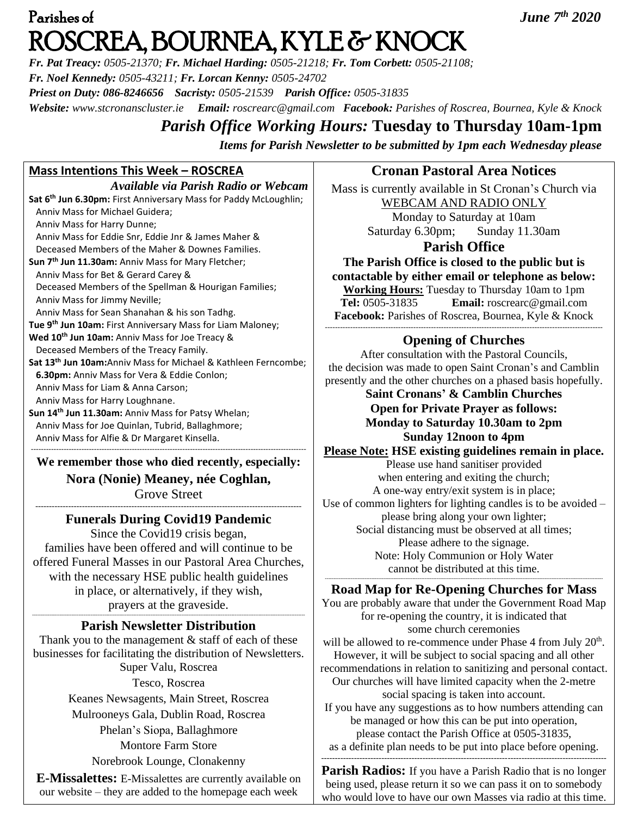# Parishes of *June 7th 2020*  ROSCREA, BOURNEA, KYLE & KNOCK

*Fr. Pat Treacy: 0505-21370; Fr. Michael Harding: 0505-21218; Fr. Tom Corbett: 0505-21108; Fr. Noel Kennedy: 0505-43211; Fr. Lorcan Kenny: 0505-24702 Priest on Duty: 086-8246656 Sacristy: 0505-21539 Parish Office: 0505-31835* 

*Website: [www.stcronanscluster.ie](http://www.stcronanscluster.ie/) Email: [roscrearc@gmail.com](mailto:roscrearc@gmail.com) Facebook: Parishes of Roscrea, Bournea, Kyle & Knock* 

# *Parish Office Working Hours:* **Tuesday to Thursday 10am-1pm**

*Items for Parish Newsletter to be submitted by 1pm each Wednesday please*

# **Mass Intentions This Week – ROSCREA**

*Available via Parish Radio or Webcam* **Sat 6th Jun 6.30pm:** First Anniversary Mass for Paddy McLoughlin; Anniv Mass for Michael Guidera; Anniv Mass for Harry Dunne; Anniv Mass for Eddie Snr, Eddie Jnr & James Maher & Deceased Members of the Maher & Downes Families. **Sun 7th Jun 11.30am:** Anniv Mass for Mary Fletcher; Anniv Mass for Bet & Gerard Carey & Deceased Members of the Spellman & Hourigan Families; Anniv Mass for Jimmy Neville; Anniv Mass for Sean Shanahan & his son Tadhg. **Tue 9th Jun 10am:** First Anniversary Mass for Liam Maloney; **Wed 10th Jun 10am:** Anniv Mass for Joe Treacy & Deceased Members of the Treacy Family. **Sat 13th Jun 10am:**Anniv Mass for Michael & Kathleen Ferncombe;  **6.30pm:** Anniv Mass for Vera & Eddie Conlon; Anniv Mass for Liam & Anna Carson; Anniv Mass for Harry Loughnane. **Sun 14th Jun 11.30am:** Anniv Mass for Patsy Whelan; Anniv Mass for Joe Quinlan, Tubrid, Ballaghmore;

Anniv Mass for Alfie & Dr Margaret Kinsella.

------------------------------------------------------------------------------------------------------------- **We remember those who died recently, especially: Nora (Nonie) Meaney, née Coghlan,** Grove Street

## ------------------------------------------------------------------------------------------------- **Funerals During Covid19 Pandemic**

Since the Covid19 crisis began, families have been offered and will continue to be offered Funeral Masses in our Pastoral Area Churches, with the necessary HSE public health guidelines in place, or alternatively, if they wish, prayers at the graveside.

#### *---------------------------------------------------------------------------------------------------------------------------------------------------------------* **Parish Newsletter Distribution**

Thank you to the management & staff of each of these businesses for facilitating the distribution of Newsletters. Super Valu, Roscrea Tesco, Roscrea Keanes Newsagents, Main Street, Roscrea Mulrooneys Gala, Dublin Road, Roscrea Phelan's Siopa, Ballaghmore Montore Farm Store Norebrook Lounge, Clonakenny

**E-Missalettes:** E-Missalettes are currently available on our website – they are added to the homepage each week

# **Cronan Pastoral Area Notices**

Mass is currently available in St Cronan's Church via WEBCAM AND RADIO ONLY Monday to Saturday at 10am Saturday 6.30pm; Sunday 11.30am

## **Parish Office**

**The Parish Office is closed to the public but is contactable by either email or telephone as below: Working Hours:** Tuesday to Thursday 10am to 1pm **Tel:** 0505-31835 **Email:** [roscrearc@gmail.com](mailto:roscrearc@gmail.com) **Facebook:** Parishes of Roscrea, Bournea, Kyle & Knock --------------------------------------------------------------------------------------------------------------

## **Opening of Churches**

After consultation with the Pastoral Councils, the decision was made to open Saint Cronan's and Camblin presently and the other churches on a phased basis hopefully.

**Saint Cronans' & Camblin Churches Open for Private Prayer as follows: Monday to Saturday 10.30am to 2pm Sunday 12noon to 4pm**

**Please Note: HSE existing guidelines remain in place.**  Please use hand sanitiser provided when entering and exiting the church; A one-way entry/exit system is in place; Use of common lighters for lighting candles is to be avoided – please bring along your own lighter; Social distancing must be observed at all times; Please adhere to the signage. Note: Holy Communion or Holy Water cannot be distributed at this time.

#### ------------------------------------------------------------------------------------------------------------------------------------------------------------------ **Road Map for Re-Opening Churches for Mass**

You are probably aware that under the Government Road Map for re-opening the country, it is indicated that some church ceremonies will be allowed to re-commence under Phase  $4$  from July  $20<sup>th</sup>$ . However, it will be subject to social spacing and all other recommendations in relation to sanitizing and personal contact. Our churches will have limited capacity when the 2-metre social spacing is taken into account. If you have any suggestions as to how numbers attending can be managed or how this can be put into operation, please contact the Parish Office at 0505-31835, as a definite plan needs to be put into place before opening. --------------------------------------------------------------------------------------------------------

**Parish Radios:** If you have a Parish Radio that is no longer being used, please return it so we can pass it on to somebody who would love to have our own Masses via radio at this time.